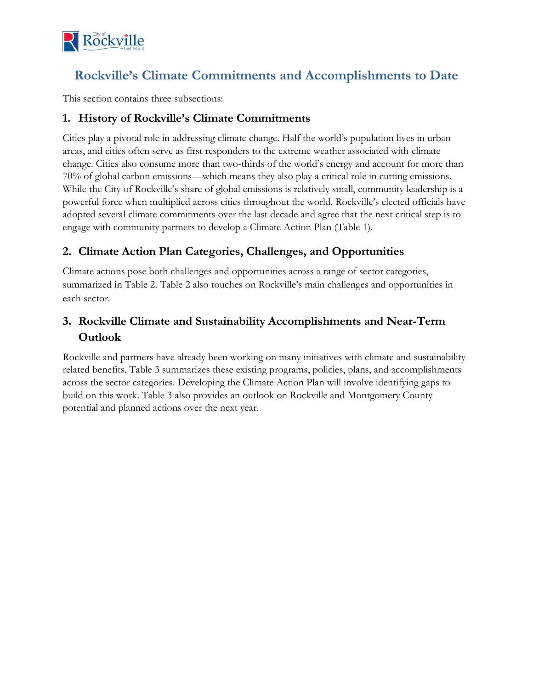

## **Rockville's Climate Commitments and Accomplishments to Date**

This section contains three subsections:

### **1. History of Rockville's Climate Commitments**

Cities play a pivotal role in addressing climate change. Half the world's population lives in urban areas, and cities often serve as first responders to the extreme weather associated with climate change. Cities also consume more than two-thirds of the world's energy and account for more than 70% of global carbon emissions—which means they also play a critical role in cutting emissions. While the City of Rockville's share of global emissions is relatively small, community leadership is a powerful force when multiplied across cities throughout the world. Rockville's elected officials have adopted several climate commitments over the last decade and agree that the next critical step is to engage with community partners to develop a Climate Action Plan (Table 1).

### **2. Climate Action Plan Categories, Challenges, and Opportunities**

Climate actions pose both challenges and opportunities across a range of sector categories, summarized in Table 2. Table 2 also touches on Rockville's main challenges and opportunities in each sector.

### **3. Rockville Climate and Sustainability Accomplishments and Near-Term Outlook**

Rockville and partners have already been working on many initiatives with climate and sustainabilityrelated benefits. Table 3 summarizes these existing programs, policies, plans, and accomplishments across the sector categories. Developing the Climate Action Plan will involve identifying gaps to build on this work. Table 3 also provides an outlook on Rockville and Montgomery County potential and planned actions over the next year.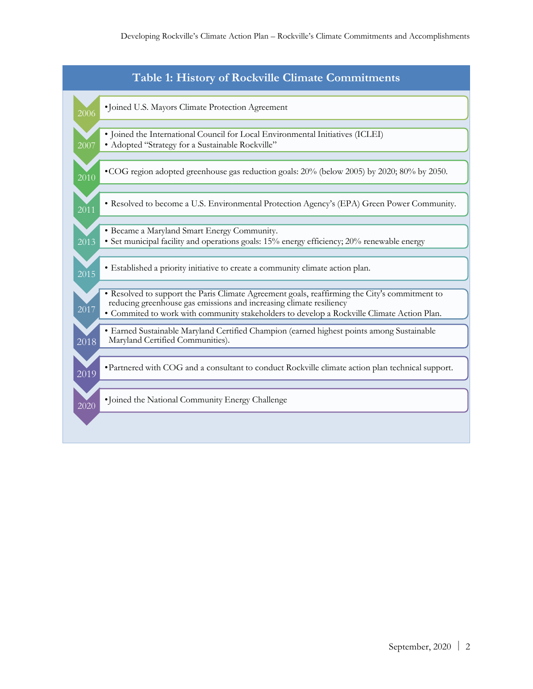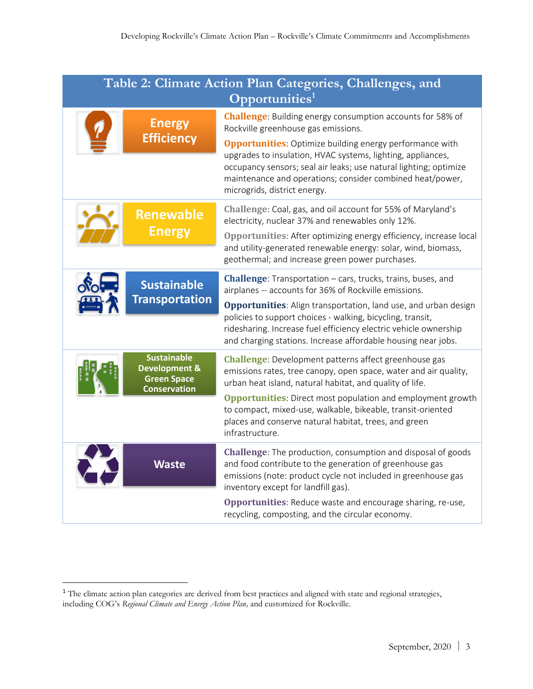| Table 2: Climate Action Plan Categories, Challenges, and<br>$\overline{\text{Opportunities}}^{1}$ |                                                                                             |                                                                                                                                                                                                                                                                                                                                                                                                                |  |  |
|---------------------------------------------------------------------------------------------------|---------------------------------------------------------------------------------------------|----------------------------------------------------------------------------------------------------------------------------------------------------------------------------------------------------------------------------------------------------------------------------------------------------------------------------------------------------------------------------------------------------------------|--|--|
|                                                                                                   | <b>Energy</b><br><b>Efficiency</b>                                                          | <b>Challenge:</b> Building energy consumption accounts for 58% of<br>Rockville greenhouse gas emissions.<br><b>Opportunities:</b> Optimize building energy performance with<br>upgrades to insulation, HVAC systems, lighting, appliances,<br>occupancy sensors; seal air leaks; use natural lighting; optimize<br>maintenance and operations; consider combined heat/power,<br>microgrids, district energy.   |  |  |
|                                                                                                   | <b>Renewable</b><br><b>Energy</b>                                                           | Challenge: Coal, gas, and oil account for 55% of Maryland's<br>electricity, nuclear 37% and renewables only 12%.<br>Opportunities: After optimizing energy efficiency, increase local<br>and utility-generated renewable energy: solar, wind, biomass,<br>geothermal; and increase green power purchases.                                                                                                      |  |  |
|                                                                                                   | <b>Sustainable</b><br><b>Transportation</b>                                                 | <b>Challenge</b> : Transportation – cars, trucks, trains, buses, and<br>airplanes -- accounts for 36% of Rockville emissions.<br><b>Opportunities:</b> Align transportation, land use, and urban design<br>policies to support choices - walking, bicycling, transit,<br>ridesharing. Increase fuel efficiency electric vehicle ownership<br>and charging stations. Increase affordable housing near jobs.     |  |  |
|                                                                                                   | <b>Sustainable</b><br><b>Development &amp;</b><br><b>Green Space</b><br><b>Conservation</b> | <b>Challenge</b> : Development patterns affect greenhouse gas<br>emissions rates, tree canopy, open space, water and air quality,<br>urban heat island, natural habitat, and quality of life.<br><b>Opportunities:</b> Direct most population and employment growth<br>to compact, mixed-use, walkable, bikeable, transit-oriented<br>places and conserve natural habitat, trees, and green<br>infrastructure. |  |  |
|                                                                                                   | <b>Waste</b>                                                                                | <b>Challenge:</b> The production, consumption and disposal of goods<br>and food contribute to the generation of greenhouse gas<br>emissions (note: product cycle not included in greenhouse gas<br>inventory except for landfill gas).<br><b>Opportunities:</b> Reduce waste and encourage sharing, re-use,<br>recycling, composting, and the circular economy.                                                |  |  |

<sup>&</sup>lt;sup>1</sup> The climate action plan categories are derived from best practices and aligned with state and regional strategies, including COG's *Regional Climate and Energy Action Plan,* and customized for Rockville.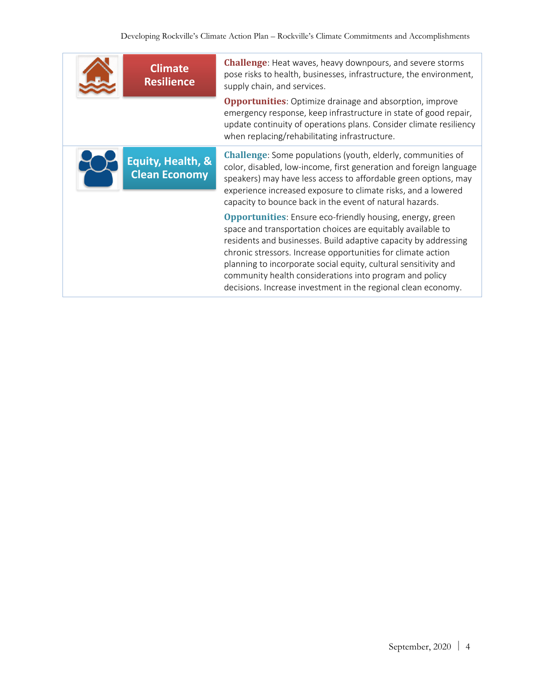| <b>Climate</b><br><b>Resilience</b>       | <b>Challenge:</b> Heat waves, heavy downpours, and severe storms<br>pose risks to health, businesses, infrastructure, the environment,<br>supply chain, and services.                                                                                                                                                                                                                                                                                             |
|-------------------------------------------|-------------------------------------------------------------------------------------------------------------------------------------------------------------------------------------------------------------------------------------------------------------------------------------------------------------------------------------------------------------------------------------------------------------------------------------------------------------------|
|                                           | <b>Opportunities:</b> Optimize drainage and absorption, improve<br>emergency response, keep infrastructure in state of good repair,<br>update continuity of operations plans. Consider climate resiliency<br>when replacing/rehabilitating infrastructure.                                                                                                                                                                                                        |
| Equity, Health, &<br><b>Clean Economy</b> | <b>Challenge:</b> Some populations (youth, elderly, communities of<br>color, disabled, low-income, first generation and foreign language<br>speakers) may have less access to affordable green options, may<br>experience increased exposure to climate risks, and a lowered<br>capacity to bounce back in the event of natural hazards.                                                                                                                          |
|                                           | <b>Opportunities:</b> Ensure eco-friendly housing, energy, green<br>space and transportation choices are equitably available to<br>residents and businesses. Build adaptive capacity by addressing<br>chronic stressors. Increase opportunities for climate action<br>planning to incorporate social equity, cultural sensitivity and<br>community health considerations into program and policy<br>decisions. Increase investment in the regional clean economy. |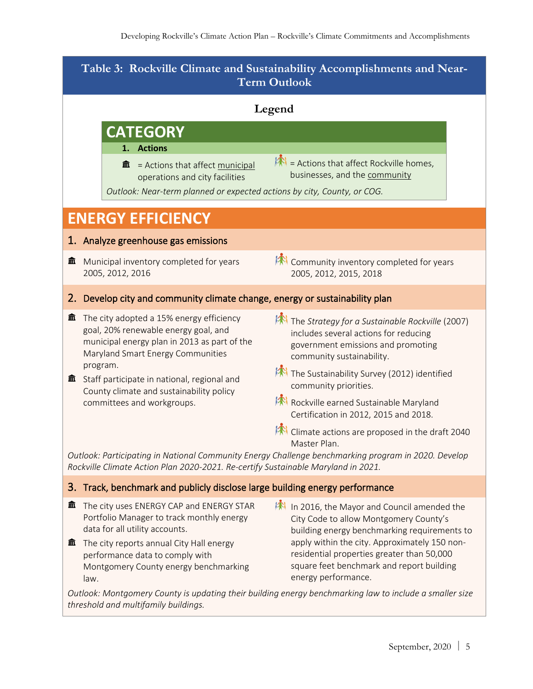| Table 3: Rockville Climate and Sustainability Accomplishments and Near-<br><b>Term Outlook</b> |                                                                                                                                                                                                                                                                                                                                                                                                                                                                                                                                                                    |  |  |  |  |  |
|------------------------------------------------------------------------------------------------|--------------------------------------------------------------------------------------------------------------------------------------------------------------------------------------------------------------------------------------------------------------------------------------------------------------------------------------------------------------------------------------------------------------------------------------------------------------------------------------------------------------------------------------------------------------------|--|--|--|--|--|
| Legend                                                                                         |                                                                                                                                                                                                                                                                                                                                                                                                                                                                                                                                                                    |  |  |  |  |  |
|                                                                                                | <b>CATEGORY</b>                                                                                                                                                                                                                                                                                                                                                                                                                                                                                                                                                    |  |  |  |  |  |
|                                                                                                | <b>Actions</b><br>1.<br>= Actions that affect Rockville homes,<br>= Actions that affect municipal<br>血<br>businesses, and the community<br>operations and city facilities<br>Outlook: Near-term planned or expected actions by city, County, or COG.                                                                                                                                                                                                                                                                                                               |  |  |  |  |  |
| <b>ENERGY EFFICIENCY</b>                                                                       |                                                                                                                                                                                                                                                                                                                                                                                                                                                                                                                                                                    |  |  |  |  |  |
|                                                                                                | 1. Analyze greenhouse gas emissions                                                                                                                                                                                                                                                                                                                                                                                                                                                                                                                                |  |  |  |  |  |
| 血                                                                                              | Community inventory completed for years<br>Municipal inventory completed for years<br>2005, 2012, 2016<br>2005, 2012, 2015, 2018                                                                                                                                                                                                                                                                                                                                                                                                                                   |  |  |  |  |  |
|                                                                                                | 2. Develop city and community climate change, energy or sustainability plan                                                                                                                                                                                                                                                                                                                                                                                                                                                                                        |  |  |  |  |  |
| 血                                                                                              | The city adopted a 15% energy efficiency<br>The Strategy for a Sustainable Rockville (2007)<br>goal, 20% renewable energy goal, and<br>includes several actions for reducing<br>municipal energy plan in 2013 as part of the<br>government emissions and promoting<br>Maryland Smart Energy Communities<br>community sustainability.                                                                                                                                                                                                                               |  |  |  |  |  |
| 血                                                                                              | program.<br>The Sustainability Survey (2012) identified<br>Staff participate in national, regional and<br>community priorities.<br>County climate and sustainability policy                                                                                                                                                                                                                                                                                                                                                                                        |  |  |  |  |  |
|                                                                                                | Rockville earned Sustainable Maryland<br>committees and workgroups.<br>Certification in 2012, 2015 and 2018.                                                                                                                                                                                                                                                                                                                                                                                                                                                       |  |  |  |  |  |
|                                                                                                | Climate actions are proposed in the draft 2040<br>Master Plan.<br>Outlook: Participating in National Community Energy Challenge benchmarking program in 2020. Develop<br>Rockville Climate Action Plan 2020-2021. Re-certify Sustainable Maryland in 2021.                                                                                                                                                                                                                                                                                                         |  |  |  |  |  |
|                                                                                                | 3. Track, benchmark and publicly disclose large building energy performance                                                                                                                                                                                                                                                                                                                                                                                                                                                                                        |  |  |  |  |  |
| 血<br>皿                                                                                         | The city uses ENERGY CAP and ENERGY STAR<br>In 2016, the Mayor and Council amended the<br>Portfolio Manager to track monthly energy<br>City Code to allow Montgomery County's<br>data for all utility accounts.<br>building energy benchmarking requirements to<br>apply within the city. Approximately 150 non-<br>The city reports annual City Hall energy<br>residential properties greater than 50,000<br>performance data to comply with<br>square feet benchmark and report building<br>Montgomery County energy benchmarking<br>energy performance.<br>law. |  |  |  |  |  |
|                                                                                                | Outlook: Montgomery County is undating their building energy benchmarking law to include a smaller size                                                                                                                                                                                                                                                                                                                                                                                                                                                            |  |  |  |  |  |

*Outlook: Montgomery County is updating their building energy benchmarking law to include a smaller size threshold and multifamily buildings.*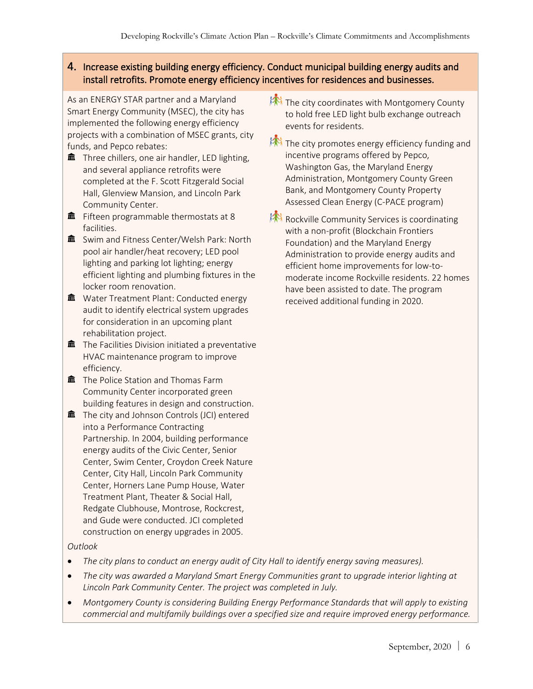#### 4. Increase existing building energy efficiency. Conduct municipal building energy audits and install retrofits. Promote energy efficiency incentives for residences and businesses.

As an ENERGY STAR partner and a Maryland Smart Energy Community (MSEC), the city has implemented the following energy efficiency projects with a combination of MSEC grants, city funds, and Pepco rebates:

- $\hat{m}$  Three chillers, one air handler, LED lighting, and several appliance retrofits were completed at the F. Scott Fitzgerald Social Hall, Glenview Mansion, and Lincoln Park Community Center.
- $\hat{m}$  Fifteen programmable thermostats at 8 facilities.
- $\hat{m}$  Swim and Fitness Center/Welsh Park: North pool air handler/heat recovery; LED pool lighting and parking lot lighting; energy efficient lighting and plumbing fixtures in the locker room renovation.
- $\hat{m}$  Water Treatment Plant: Conducted energy audit to identify electrical system upgrades for consideration in an upcoming plant rehabilitation project.
- $\hat{m}$  The Facilities Division initiated a preventative HVAC maintenance program to improve efficiency.
- $\hat{m}$  The Police Station and Thomas Farm Community Center incorporated green building features in design and construction.
- $\hat{m}$  The city and Johnson Controls (JCI) entered into a Performance Contracting Partnership. In 2004, building performance energy audits of the Civic Center, Senior Center, Swim Center, Croydon Creek Nature Center, City Hall, Lincoln Park Community Center, Horners Lane Pump House, Water Treatment Plant, Theater & Social Hall, Redgate Clubhouse, Montrose, Rockcrest, and Gude were conducted. JCI completed construction on energy upgrades in 2005.

#### *Outlook*

- *The city plans to conduct an energy audit of City Hall to identify energy saving measures).*
- *The city was awarded a Maryland Smart Energy Communities grant to upgrade interior lighting at Lincoln Park Community Center. The project was completed in July.*
- *Montgomery County is considering Building Energy Performance Standards that will apply to existing commercial and multifamily buildings over a specified size and require improved energy performance.*
- **AN** The city coordinates with Montgomery County to hold free LED light bulb exchange outreach events for residents.
- $\mathbb{R}$  The city promotes energy efficiency funding and incentive programs offered by Pepco, Washington Gas, the Maryland Energy Administration, Montgomery County Green Bank, and Montgomery County Property Assessed Clean Energy (C-PACE program)
- Rockville Community Services is coordinating with a non-profit (Blockchain Frontiers Foundation) and the Maryland Energy Administration to provide energy audits and efficient home improvements for low-tomoderate income Rockville residents. 22 homes have been assisted to date. The program received additional funding in 2020.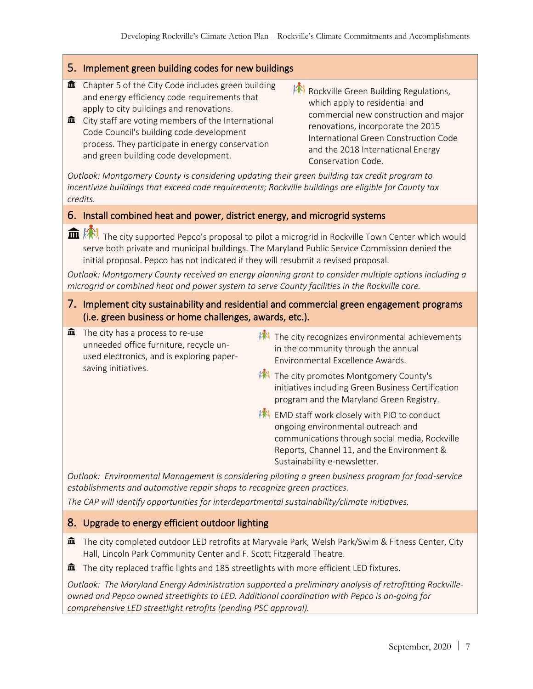#### 5. Implement green building codes for new buildings

- $\hat{m}$  Chapter 5 of the City Code includes green building and energy efficiency code requirements that apply to city buildings and renovations.
- $\hat{m}$  City staff are voting members of the International Code Council's building code development process. They participate in energy conservation and green building code development.
- RA Rockville Green Building Regulations, which apply to residential and commercial new construction and major renovations, incorporate the 2015 International Green Construction Code and the 2018 International Energy Conservation Code.

*Outlook: Montgomery County is considering updating their green building tax credit program to incentivize buildings that exceed code requirements; Rockville buildings are eligible for County tax credits.*

#### 6. Install combined heat and power, district energy, and microgrid systems

The city supported Pepco's proposal to pilot a microgrid in Rockville Town Center which would serve both private and municipal buildings. The Maryland Public Service Commission denied the initial proposal. Pepco has not indicated if they will resubmit a revised proposal.

*Outlook: Montgomery County received an energy planning grant to consider multiple options including a microgrid or combined heat and power system to serve County facilities in the Rockville core.*

- 7. Implement city sustainability and residential and commercial green engagement programs (i.e. green business or home challenges, awards, etc.).
- $\hat{m}$  The city has a process to re-use unneeded office furniture, recycle unused electronics, and is exploring papersaving initiatives.
- $\mathbb{R}$  The city recognizes environmental achievements in the community through the annual Environmental Excellence Awards.
- **AN** The city promotes Montgomery County's initiatives including Green Business Certification program and the Maryland Green Registry.
- **EMD staff work closely with PIO to conduct** ongoing environmental outreach and communications through social media, Rockville Reports, Channel 11, and the Environment & Sustainability e-newsletter.

*Outlook: Environmental Management is considering piloting a green business program for food-service establishments and automotive repair shops to recognize green practices.* 

*The CAP will identify opportunities for interdepartmental sustainability/climate initiatives.*

#### 8. Upgrade to energy efficient outdoor lighting

- The city completed outdoor LED retrofits at Maryvale Park, Welsh Park/Swim & Fitness Center, City Hall, Lincoln Park Community Center and F. Scott Fitzgerald Theatre.
- $\widehat{\mathbf{m}}$  The city replaced traffic lights and 185 streetlights with more efficient LED fixtures.

*Outlook: The Maryland Energy Administration supported a preliminary analysis of retrofitting Rockvilleowned and Pepco owned streetlights to LED. Additional coordination with Pepco is on-going for comprehensive LED streetlight retrofits (pending PSC approval).*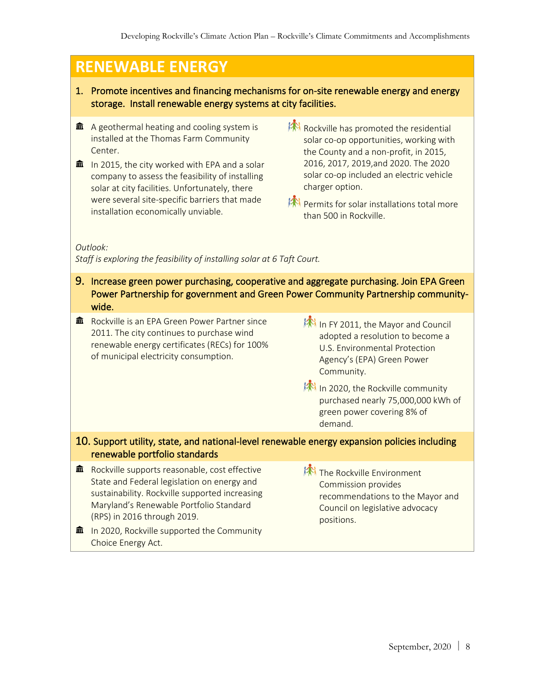# **RENEWABLE ENERGY**

- 1. Promote incentives and financing mechanisms for on-site renewable energy and energy storage. Install renewable energy systems at city facilities.
- $\hat{m}$  A geothermal heating and cooling system is installed at the Thomas Farm Community **Center**
- $\hat{m}$  In 2015, the city worked with EPA and a solar company to assess the feasibility of installing solar at city facilities. Unfortunately, there were several site-specific barriers that made installation economically unviable.
- Rockville has promoted the residential solar co-op opportunities, working with the County and a non-profit, in 2015, 2016, 2017, 2019,and 2020. The 2020 solar co-op included an electric vehicle charger option.
- Permits for solar installations total more than 500 in Rockville.

*Outlook:* 

*Staff is exploring the feasibility of installing solar at 6 Taft Court.* 

- 9. Increase green power purchasing, cooperative and aggregate purchasing. Join EPA Green Power Partnership for government and Green Power Community Partnership communitywide.
- **m** Rockville is an EPA Green Power Partner since 2011. The city continues to purchase wind renewable energy certificates (RECs) for 100% of municipal electricity consumption.
- In FY 2011, the Mayor and Council adopted a resolution to become a U.S. Environmental Protection Agency's (EPA) Green Power Community.
- **AN** In 2020, the Rockville community purchased nearly 75,000,000 kWh of green power covering 8% of demand.

#### 10. Support utility, state, and national-level renewable energy expansion policies including renewable portfolio standards

- $\hat{m}$  Rockville supports reasonable, cost effective State and Federal legislation on energy and sustainability. Rockville supported increasing Maryland's Renewable Portfolio Standard (RPS) in 2016 through 2019.
- $\hat{m}$  In 2020, Rockville supported the Community Choice Energy Act.
- **AN** The Rockville Environment Commission provides recommendations to the Mayor and Council on legislative advocacy positions.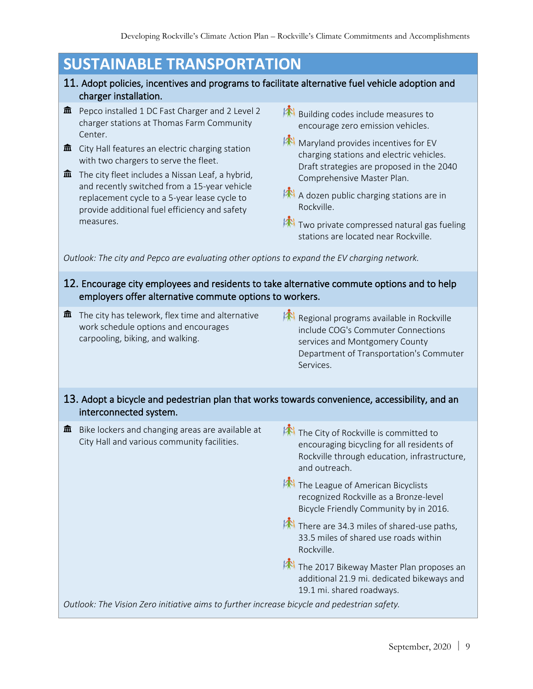# **SUSTAINABLE TRANSPORTATION**

- 11. Adopt policies, incentives and programs to facilitate alternative fuel vehicle adoption and charger installation.
- $\hat{m}$  Pepco installed 1 DC Fast Charger and 2 Level 2 charger stations at Thomas Farm Community Center.
- $\hat{m}$  City Hall features an electric charging station with two chargers to serve the fleet.
- $\hat{m}$  The city fleet includes a Nissan Leaf, a hybrid, and recently switched from a 15-year vehicle replacement cycle to a 5-year lease cycle to provide additional fuel efficiency and safety measures.
- **Building codes include measures to** encourage zero emission vehicles.
- Maryland provides incentives for EV charging stations and electric vehicles. Draft strategies are proposed in the 2040 Comprehensive Master Plan.
- A dozen public charging stations are in Rockville.
- $\mathbb{R}$  Two private compressed natural gas fueling stations are located near Rockville.

*Outlook: The city and Pepco are evaluating other options to expand the EV charging network.* 

#### 12. Encourage city employees and residents to take alternative commute options and to help employers offer alternative commute options to workers.

- $\hat{m}$  The city has telework, flex time and alternative work schedule options and encourages carpooling, biking, and walking.
- Regional programs available in Rockville include COG's Commuter Connections services and Montgomery County Department of Transportation's Commuter Services.

#### 13. Adopt a bicycle and pedestrian plan that works towards convenience, accessibility, and an interconnected system.

 $\hat{m}$  Bike lockers and changing areas are available at City Hall and various community facilities.

**AN** The City of Rockville is committed to encouraging bicycling for all residents of Rockville through education, infrastructure, and outreach.

**The League of American Bicyclists** recognized Rockville as a Bronze-level Bicycle Friendly Community by in 2016.

 $\mathbb{R}$  There are 34.3 miles of shared-use paths, 33.5 miles of shared use roads within Rockville.

**AN** The 2017 Bikeway Master Plan proposes an additional 21.9 mi. dedicated bikeways and 19.1 mi. shared roadways.

*Outlook: The Vision Zero initiative aims to further increase bicycle and pedestrian safety.*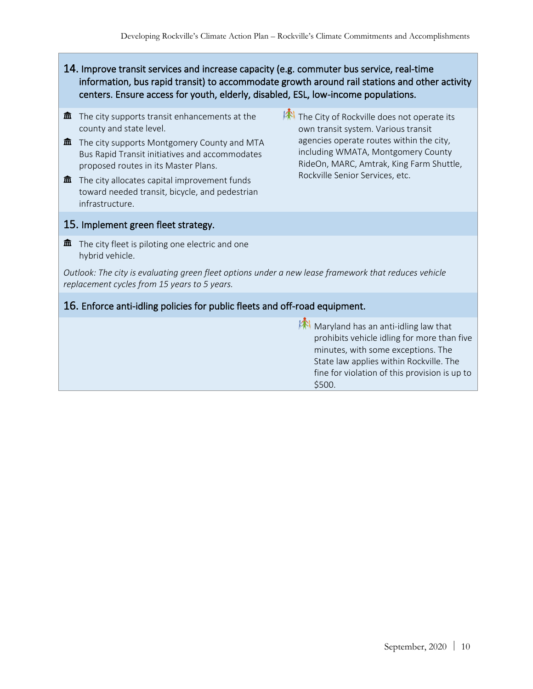- 14. Improve transit services and increase capacity (e.g. commuter bus service, real-time information, bus rapid transit) to accommodate growth around rail stations and other activity centers. Ensure access for youth, elderly, disabled, ESL, low-income populations.
- $\mathbf{\hat{m}}$  The city supports transit enhancements at the county and state level.
- $\hat{m}$  The city supports Montgomery County and MTA Bus Rapid Transit initiatives and accommodates proposed routes in its Master Plans.
- $\mathbf{\hat{m}}$  The city allocates capital improvement funds toward needed transit, bicycle, and pedestrian infrastructure.
- The City of Rockville does not operate its own transit system. Various transit agencies operate routes within the city, including WMATA, Montgomery County RideOn, MARC, Amtrak, King Farm Shuttle, Rockville Senior Services, etc.

#### 15. Implement green fleet strategy.

 $\hat{m}$  The city fleet is piloting one electric and one hybrid vehicle.

*Outlook: The city is evaluating green fleet options under a new lease framework that reduces vehicle replacement cycles from 15 years to 5 years.*

#### 16. Enforce anti-idling policies for public fleets and off-road equipment.

 $M$  Maryland has an anti-idling law that prohibits vehicle idling for more than five minutes, with some exceptions. The State law applies within Rockville. The fine for violation of this provision is up to \$500.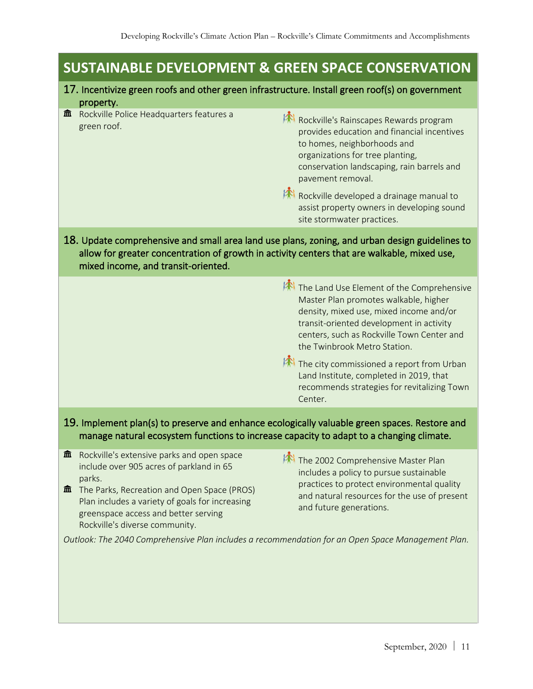# **SUSTAINABLE DEVELOPMENT & GREEN SPACE CONSERVATION**

#### 17. Incentivize green roofs and other green infrastructure. Install green roof(s) on government property.

|                                                                                                                                                                                                                                      | --------                                                |                                                                                                                                                                                                                                                                                                                                                     |  |  |
|--------------------------------------------------------------------------------------------------------------------------------------------------------------------------------------------------------------------------------------|---------------------------------------------------------|-----------------------------------------------------------------------------------------------------------------------------------------------------------------------------------------------------------------------------------------------------------------------------------------------------------------------------------------------------|--|--|
| 血                                                                                                                                                                                                                                    | Rockville Police Headquarters features a<br>green roof. | Rockville's Rainscapes Rewards program<br>provides education and financial incentives<br>to homes, neighborhoods and<br>organizations for tree planting,<br>conservation landscaping, rain barrels and<br>pavement removal.<br>Rockville developed a drainage manual to<br>assist property owners in developing sound<br>site stormwater practices. |  |  |
| 18. Update comprehensive and small area land use plans, zoning, and urban design guidelines to<br>allow for greater concentration of growth in activity centers that are walkable, mixed use,<br>mixed income, and transit-oriented. |                                                         |                                                                                                                                                                                                                                                                                                                                                     |  |  |
|                                                                                                                                                                                                                                      |                                                         | $\mathcal{L}(\mathbb{R})$ is a set of the set of the set of the set of the set of the set of the set of the set of the set of the set of the set of the set of the set of the set of the set of the set of the set of the set of the set                                                                                                            |  |  |

**The Land Use Element of the Comprehensive** Master Plan promotes walkable, higher density, mixed use, mixed income and/or transit-oriented development in activity centers, such as Rockville Town Center and the Twinbrook Metro Station.

**The city commissioned a report from Urban** Land Institute, completed in 2019, that recommends strategies for revitalizing Town Center.

19. Implement plan(s) to preserve and enhance ecologically valuable green spaces. Restore and manage natural ecosystem functions to increase capacity to adapt to a changing climate.

- $\hat{m}$  Rockville's extensive parks and open space include over 905 acres of parkland in 65 parks.
- $\hat{m}$  The Parks, Recreation and Open Space (PROS) Plan includes a variety of goals for increasing greenspace access and better serving Rockville's diverse community.
- The 2002 Comprehensive Master Plan includes a policy to pursue sustainable practices to protect environmental quality and natural resources for the use of present and future generations.

*Outlook: The 2040 Comprehensive Plan includes a recommendation for an Open Space Management Plan.*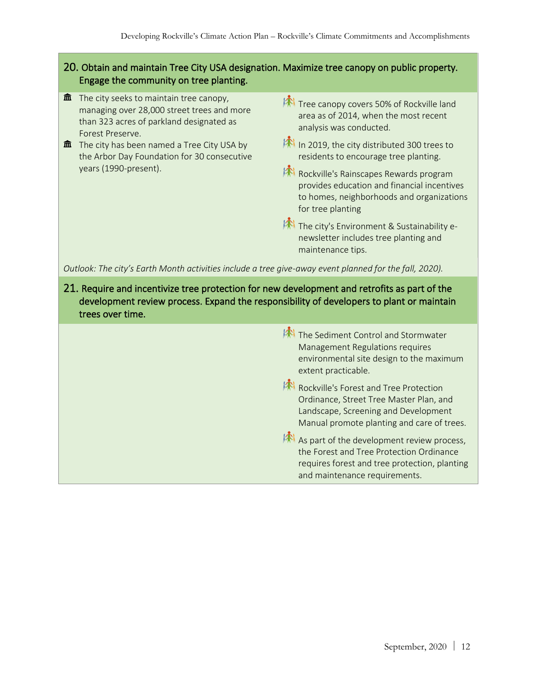#### 20. Obtain and maintain Tree City USA designation. Maximize tree canopy on public property. Engage the community on tree planting.

- $\mathbf{\hat{m}}$  The city seeks to maintain tree canopy, managing over 28,000 street trees and more than 323 acres of parkland designated as Forest Preserve.
- $\hat{m}$  The city has been named a Tree City USA by the Arbor Day Foundation for 30 consecutive years (1990-present).
- For Tree canopy covers 50% of Rockville land area as of 2014, when the most recent analysis was conducted.
- In 2019, the city distributed 300 trees to residents to encourage tree planting.
- Rockville's Rainscapes Rewards program provides education and financial incentives to homes, neighborhoods and organizations for tree planting
- **AN** The city's Environment & Sustainability enewsletter includes tree planting and maintenance tips.

*Outlook: The city's Earth Month activities include a tree give-away event planned for the fall, 2020).*

21. Require and incentivize tree protection for new development and retrofits as part of the development review process. Expand the responsibility of developers to plant or maintain trees over time.

> The Sediment Control and Stormwater Management Regulations requires environmental site design to the maximum extent practicable.

Rockville's Forest and Tree Protection Ordinance, Street Tree Master Plan, and Landscape, Screening and Development Manual promote planting and care of trees.

 $\mathbb{A}$  As part of the development review process, the Forest and Tree Protection Ordinance requires forest and tree protection, planting and maintenance requirements.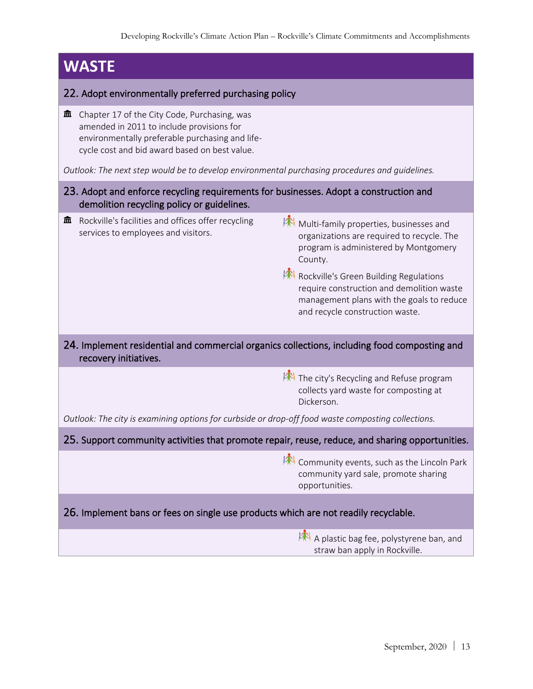## **WASTE**  22. Adopt environmentally preferred purchasing policy  $\hat{m}$  Chapter 17 of the City Code, Purchasing, was amended in 2011 to include provisions for environmentally preferable purchasing and lifecycle cost and bid award based on best value. *Outlook: The next step would be to develop environmental purchasing procedures and guidelines.* 23. Adopt and enforce recycling requirements for businesses. Adopt a construction and demolition recycling policy or guidelines.  $\hat{m}$  Rockville's facilities and offices offer recycling services to employees and visitors. **Multi-family properties, businesses and** organizations are required to recycle. The program is administered by Montgomery County. Rockville's Green Building Regulations require construction and demolition waste management plans with the goals to reduce and recycle construction waste. 24. Implement residential and commercial organics collections, including food composting and recovery initiatives.  $\mathbb{R}$  The city's Recycling and Refuse program collects yard waste for composting at Dickerson. *Outlook: The city is examining options for curbside or drop-off food waste composting collections.* 25. Support community activities that promote repair, reuse, reduce, and sharing opportunities. Community events, such as the Lincoln Park community yard sale, promote sharing opportunities. 26. Implement bans or fees on single use products which are not readily recyclable. A plastic bag fee, polystyrene ban, and straw ban apply in Rockville.